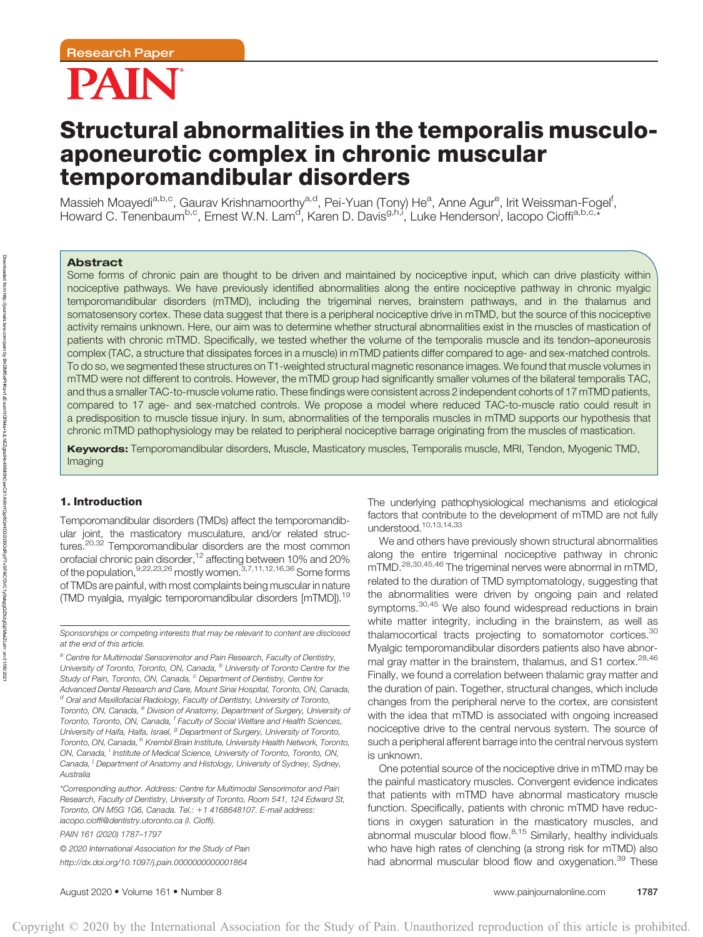

# Structural abnormalities in the temporalis musculoaponeurotic complex in chronic muscular temporomandibular disorders

Massieh Moayedi<sup>a,b,c</sup>, Gaurav Krishnamoorthy<sup>a,d</sup>, Pei-Yuan (Tony) He<sup>a</sup>, Anne Agur<sup>e</sup>, Irit Weissman-Fogel<sup>f</sup>, Howard C. Tenenbaum<sup>b,c</sup>, Ernest W.N. Lam<sup>d</sup>, Karen D. Davis<sup>g,h,i</sup>, Luke Henderson<sup>j</sup>, Iacopo Cioffi<sup>a,b,c,\*</sup>

# Abstract

Downloaded from

http://journals.lww.com/pain

হ

BhDMf5ePHKav1zEoum1tQfN4a+kJLhEZgbsIHo4XMi0hCywCX1AWnYQp/IlQrHD3i3D0OdRyi7TvSFl4Cf3VC1y0abggQZXdgGj2MwlZLeI=

on 01/06/2021

Some forms of chronic pain are thought to be driven and maintained by nociceptive input, which can drive plasticity within nociceptive pathways. We have previously identified abnormalities along the entire nociceptive pathway in chronic myalgic temporomandibular disorders (mTMD), including the trigeminal nerves, brainstem pathways, and in the thalamus and somatosensory cortex. These data suggest that there is a peripheral nociceptive drive in mTMD, but the source of this nociceptive activity remains unknown. Here, our aim was to determine whether structural abnormalities exist in the muscles of mastication of patients with chronic mTMD. Specifically, we tested whether the volume of the temporalis muscle and its tendon–aponeurosis complex (TAC, a structure that dissipates forces in a muscle) in mTMD patients differ compared to age- and sex-matched controls. To do so, we segmented these structures on T1-weighted structural magnetic resonance images. We found that muscle volumes in mTMD were not different to controls. However, the mTMD group had significantly smaller volumes of the bilateral temporalis TAC, and thus a smaller TAC-to-muscle volume ratio. These findings were consistent across 2 independent cohorts of 17 mTMD patients, compared to 17 age- and sex-matched controls. We propose a model where reduced TAC-to-muscle ratio could result in a predisposition to muscle tissue injury. In sum, abnormalities of the temporalis muscles in mTMD supports our hypothesis that chronic mTMD pathophysiology may be related to peripheral nociceptive barrage originating from the muscles of mastication.

Keywords: Temporomandibular disorders, Muscle, Masticatory muscles, Temporalis muscle, MRI, Tendon, Myogenic TMD, Imaging

Copyright © 2020 by the International Association for the Study of Pain. Unauthorized reproduction of this article is prohibited.

# 1. Introduction

Temporomandibular disorders (TMDs) affect the temporomandibular joint, the masticatory musculature, and/or related structures.<sup>20,32</sup> Temporomandibular disorders are the most common orofacial chronic pain disorder,12 affecting between 10% and 20% of the population, $9,22,23,26$  mostly women. $3,7,11,12,16,36$  Some forms of TMDs are painful, with most complaints being muscular in nature (TMD myalgia, myalgic temporomandibular disorders [mTMD]).19

Sponsorships or competing interests that may be relevant to content are disclosed at the end of this article.

a Centre for Multimodal Sensorimotor and Pain Research, Faculty of Dentistry, University of Toronto, Toronto, ON, Canada, <sup>b</sup> University of Toronto Centre for the Study of Pain, Toronto, ON, Canada, <sup>c</sup> Department of Dentistry, Centre for Advanced Dental Research and Care, Mount Sinai Hospital, Toronto, ON, Canada,  $d$  Oral and Maxillofacial Radiology, Faculty of Dentistry, University of Toronto, Toronto, ON, Canada, <sup>e</sup> Division of Anatomy, Department of Surgery, University of Toronto, Toronto, ON, Canada, <sup>f</sup> Faculty of Social Welfare and Health Sciences, University of Haifa, Haifa, Israel, <sup>g</sup> Department of Surgery, University of Toronto, Toronto, ON, Canada, <sup>h</sup> Krembil Brain Institute, University Health Network, Toronto, ON, Canada, <sup>i</sup> Institute of Medical Science, University of Toronto, Toronto, ON, Canada, <sup>i</sup> Department of Anatomy and Histology, University of Sydney, Sydney, **Australia** 

PAIN 161 (2020) 1787–1797

© 2020 International Association for the Study of Pain <http://dx.doi.org/10.1097/j.pain.0000000000001864>

The underlying pathophysiological mechanisms and etiological factors that contribute to the development of mTMD are not fully understood.10,13,14,33

We and others have previously shown structural abnormalities along the entire trigeminal nociceptive pathway in chronic mTMD.28,30,45,46 The trigeminal nerves were abnormal in mTMD, related to the duration of TMD symptomatology, suggesting that the abnormalities were driven by ongoing pain and related symptoms.<sup>30,45</sup> We also found widespread reductions in brain white matter integrity, including in the brainstem, as well as thalamocortical tracts projecting to somatomotor cortices.<sup>30</sup> Myalgic temporomandibular disorders patients also have abnormal gray matter in the brainstem, thalamus, and S1 cortex.<sup>28,46</sup> Finally, we found a correlation between thalamic gray matter and the duration of pain. Together, structural changes, which include changes from the peripheral nerve to the cortex, are consistent with the idea that mTMD is associated with ongoing increased nociceptive drive to the central nervous system. The source of such a peripheral afferent barrage into the central nervous system is unknown.

One potential source of the nociceptive drive in mTMD may be the painful masticatory muscles. Convergent evidence indicates that patients with mTMD have abnormal masticatory muscle function. Specifically, patients with chronic mTMD have reductions in oxygen saturation in the masticatory muscles, and abnormal muscular blood flow. $8,15$  Similarly, healthy individuals who have high rates of clenching (a strong risk for mTMD) also had abnormal muscular blood flow and oxygenation.<sup>39</sup> These

<sup>\*</sup>Corresponding author. Address: Centre for Multimodal Sensorimotor and Pain Research, Faculty of Dentistry, University of Toronto, Room 541, 124 Edward St, Toronto, ON M5G 1G6, Canada, Tel.: +1 4168648107. E-mail address: [iacopo.cioffi@dentistry.utoronto.ca](mailto:iacopo.cioffi@dentistry.utoronto.ca) (I. Cioffi).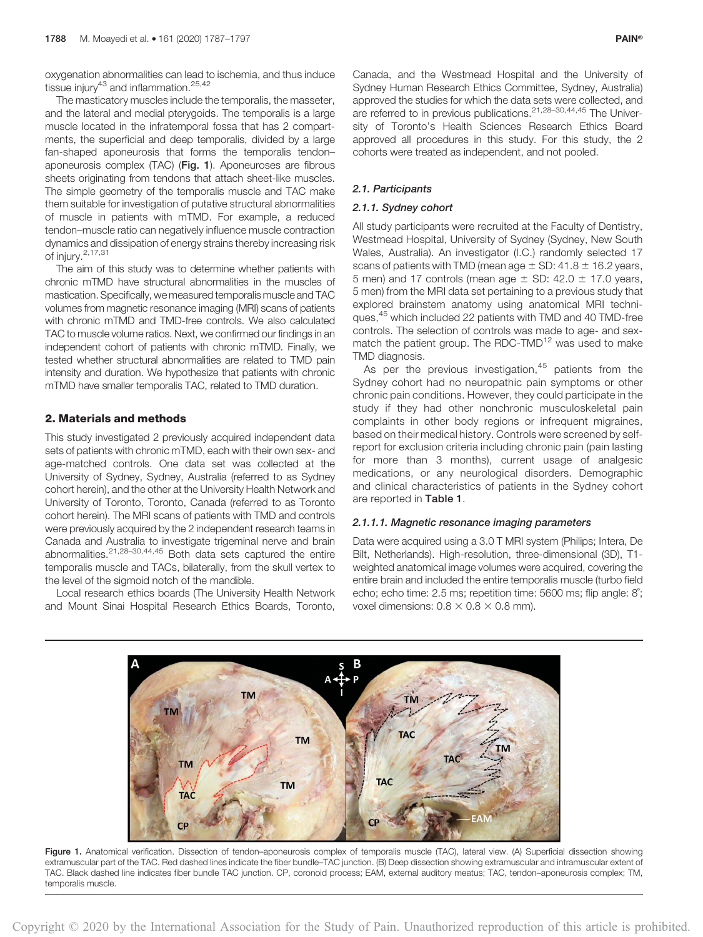oxygenation abnormalities can lead to ischemia, and thus induce tissue injury $43$  and inflammation.  $25,42$ 

The masticatory muscles include the temporalis, the masseter, and the lateral and medial pterygoids. The temporalis is a large muscle located in the infratemporal fossa that has 2 compartments, the superficial and deep temporalis, divided by a large fan-shaped aponeurosis that forms the temporalis tendon– aponeurosis complex (TAC) (Fig. 1). Aponeuroses are fibrous sheets originating from tendons that attach sheet-like muscles. The simple geometry of the temporalis muscle and TAC make them suitable for investigation of putative structural abnormalities of muscle in patients with mTMD. For example, a reduced tendon–muscle ratio can negatively influence muscle contraction dynamics and dissipation of energy strains thereby increasing risk of injury. $2,17,31$ 

The aim of this study was to determine whether patients with chronic mTMD have structural abnormalities in the muscles of mastication. Specifically, we measured temporalis muscle and TAC volumes from magnetic resonance imaging (MRI) scans of patients with chronic mTMD and TMD-free controls. We also calculated TAC to muscle volume ratios. Next, we confirmed our findings in an independent cohort of patients with chronic mTMD. Finally, we tested whether structural abnormalities are related to TMD pain intensity and duration. We hypothesize that patients with chronic mTMD have smaller temporalis TAC, related to TMD duration.

#### 2. Materials and methods

This study investigated 2 previously acquired independent data sets of patients with chronic mTMD, each with their own sex- and age-matched controls. One data set was collected at the University of Sydney, Sydney, Australia (referred to as Sydney cohort herein), and the other at the University Health Network and University of Toronto, Toronto, Canada (referred to as Toronto cohort herein). The MRI scans of patients with TMD and controls were previously acquired by the 2 independent research teams in Canada and Australia to investigate trigeminal nerve and brain abnormalities.21,28–30,44,45 Both data sets captured the entire temporalis muscle and TACs, bilaterally, from the skull vertex to the level of the sigmoid notch of the mandible.

Local research ethics boards (The University Health Network and Mount Sinai Hospital Research Ethics Boards, Toronto,

Canada, and the Westmead Hospital and the University of Sydney Human Research Ethics Committee, Sydney, Australia) approved the studies for which the data sets were collected, and are referred to in previous publications.<sup>21,28–30,44,45</sup> The University of Toronto's Health Sciences Research Ethics Board approved all procedures in this study. For this study, the 2 cohorts were treated as independent, and not pooled.

## 2.1. Participants

### 2.1.1. Sydney cohort

All study participants were recruited at the Faculty of Dentistry, Westmead Hospital, University of Sydney (Sydney, New South Wales, Australia). An investigator (I.C.) randomly selected 17 scans of patients with TMD (mean age  $\pm$  SD: 41.8  $\pm$  16.2 years, 5 men) and 17 controls (mean age  $\pm$  SD: 42.0  $\pm$  17.0 years, 5 men) from the MRI data set pertaining to a previous study that explored brainstem anatomy using anatomical MRI techniques,<sup>45</sup> which included 22 patients with TMD and 40 TMD-free controls. The selection of controls was made to age- and sexmatch the patient group. The RDC-TMD<sup>12</sup> was used to make TMD diagnosis.

As per the previous investigation, $45$  patients from the Sydney cohort had no neuropathic pain symptoms or other chronic pain conditions. However, they could participate in the study if they had other nonchronic musculoskeletal pain complaints in other body regions or infrequent migraines, based on their medical history. Controls were screened by selfreport for exclusion criteria including chronic pain (pain lasting for more than 3 months), current usage of analgesic medications, or any neurological disorders. Demographic and clinical characteristics of patients in the Sydney cohort are reported in Table 1.

#### 2.1.1.1. Magnetic resonance imaging parameters

Data were acquired using a 3.0 T MRI system (Philips; Intera, De Bilt, Netherlands). High-resolution, three-dimensional (3D), T1 weighted anatomical image volumes were acquired, covering the entire brain and included the entire temporalis muscle (turbo field echo; echo time: 2.5 ms; repetition time: 5600 ms; flip angle: 8˚; voxel dimensions:  $0.8 \times 0.8 \times 0.8$  mm).



Figure 1. Anatomical verification. Dissection of tendon-aponeurosis complex of temporalis muscle (TAC), lateral view. (A) Superficial dissection showing extramuscular part of the TAC. Red dashed lines indicate the fiber bundle–TAC junction. (B) Deep dissection showing extramuscular and intramuscular extent of TAC. Black dashed line indicates fiber bundle TAC junction. CP, coronoid process; EAM, external auditory meatus; TAC, tendon–aponeurosis complex; TM, temporalis muscle.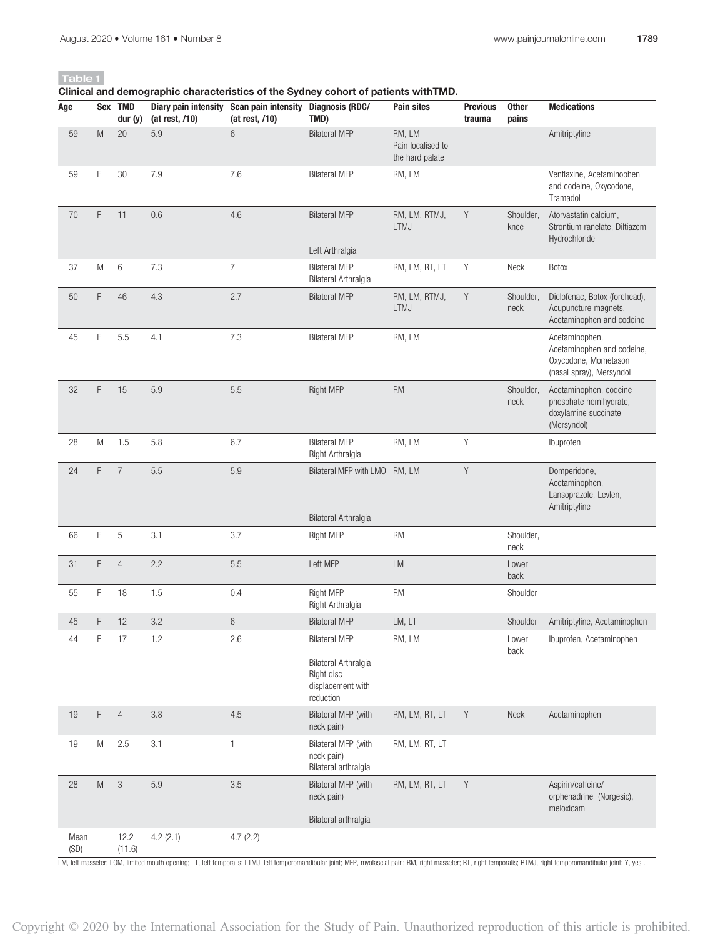# Table 1

Clinical and demographic characteristics of the Sydney cohort of patients withTMD.

| Age          |                                                                                                            | Sex TMD<br>dur $(y)$      | (at rest, /10) | Diary pain intensity Scan pain intensity Diagnosis (RDC/<br>(at rest, /10) | TMD)                                                                 | Pain sites                                     | <b>Previous</b><br>trauma | <b>Other</b><br>pains | <b>Medications</b>                                                                               |
|--------------|------------------------------------------------------------------------------------------------------------|---------------------------|----------------|----------------------------------------------------------------------------|----------------------------------------------------------------------|------------------------------------------------|---------------------------|-----------------------|--------------------------------------------------------------------------------------------------|
| 59           | M                                                                                                          | 20                        | 5.9            | 6                                                                          | <b>Bilateral MFP</b>                                                 | RM, LM<br>Pain localised to<br>the hard palate |                           |                       | Amitriptyline                                                                                    |
| 59           | F                                                                                                          | 30                        | $7.9\,$        | 7.6                                                                        | <b>Bilateral MFP</b>                                                 | RM, LM                                         |                           |                       | Venflaxine, Acetaminophen<br>and codeine, Oxycodone,<br>Tramadol                                 |
| 70           | F                                                                                                          | 11                        | $0.6\,$        | 4.6                                                                        | <b>Bilateral MFP</b>                                                 | RM, LM, RTMJ,<br><b>LTMJ</b>                   | Υ                         | Shoulder,<br>knee     | Atorvastatin calcium,<br>Strontium ranelate, Diltiazem<br>Hydrochloride                          |
|              |                                                                                                            |                           |                |                                                                            | Left Arthralgia                                                      |                                                |                           |                       |                                                                                                  |
| 37           | M                                                                                                          | 6                         | 7.3            | $\overline{7}$                                                             | <b>Bilateral MFP</b><br>Bilateral Arthralgia                         | RM, LM, RT, LT                                 | Y                         | Neck                  | Botox                                                                                            |
| $50\,$       | F                                                                                                          | $46\,$                    | 4.3            | 2.7                                                                        | <b>Bilateral MFP</b>                                                 | RM, LM, RTMJ,<br><b>LTMJ</b>                   | $\mathsf Y$               | Shoulder,<br>neck     | Diclofenac, Botox (forehead),<br>Acupuncture magnets,<br>Acetaminophen and codeine               |
| 45           | F                                                                                                          | 5.5                       | 4.1            | 7.3                                                                        | <b>Bilateral MFP</b>                                                 | RM, LM                                         |                           |                       | Acetaminophen,<br>Acetaminophen and codeine,<br>Oxycodone, Mometason<br>(nasal spray), Mersyndol |
| 32           | F                                                                                                          | 15                        | 5.9            | 5.5                                                                        | Right MFP                                                            | RM                                             |                           | Shoulder,<br>neck     | Acetaminophen, codeine<br>phosphate hemihydrate,<br>doxylamine succinate<br>(Mersyndol)          |
| 28           | M                                                                                                          | 1.5                       | 5.8            | 6.7                                                                        | <b>Bilateral MFP</b><br>Right Arthralgia                             | RM, LM                                         | Υ                         |                       | Ibuprofen                                                                                        |
| 24           | F                                                                                                          | $\overline{7}$            | $5.5\,$        | 5.9                                                                        | Bilateral MFP with LMO RM, LM                                        |                                                | Y                         |                       | Domperidone,<br>Acetaminophen,<br>Lansoprazole, Levlen,<br>Amitriptyline                         |
|              |                                                                                                            |                           |                |                                                                            | Bilateral Arthralgia                                                 |                                                |                           |                       |                                                                                                  |
| 66           | F                                                                                                          | 5                         | 3.1            | 3.7                                                                        | Right MFP                                                            | <b>RM</b>                                      |                           | Shoulder,<br>neck     |                                                                                                  |
| 31           | F                                                                                                          | $\overline{4}$            | 2.2            | 5.5                                                                        | Left MFP                                                             | LM                                             |                           | Lower<br>back         |                                                                                                  |
| 55           | F                                                                                                          | 18                        | 1.5            | 0.4                                                                        | Right MFP<br>Right Arthralgia                                        | <b>RM</b>                                      |                           | Shoulder              |                                                                                                  |
| 45           | F                                                                                                          | 12                        | 3.2            | $\,6\,$                                                                    | <b>Bilateral MFP</b>                                                 | LM, LT                                         |                           | Shoulder              | Amitriptyline, Acetaminophen                                                                     |
| 44           | F                                                                                                          | 17                        | 1.2            | 2.6                                                                        | <b>Bilateral MFP</b>                                                 | RM, LM                                         |                           | Lower<br>back         | Ibuprofen, Acetaminophen                                                                         |
|              |                                                                                                            |                           |                |                                                                            | Bilateral Arthralgia<br>Right disc<br>displacement with<br>reduction |                                                |                           |                       |                                                                                                  |
| $19$         | F                                                                                                          | $\overline{4}$            | $3.8\,$        | 4.5                                                                        | Bilateral MFP (with<br>neck pain)                                    | RM, LM, RT, LT                                 | Y                         | Neck                  | Acetaminophen                                                                                    |
| $19$         | M                                                                                                          | 2.5                       | 3.1            | $\mathbf{1}$                                                               | Bilateral MFP (with<br>neck pain)<br>Bilateral arthralgia            | RM, LM, RT, LT                                 |                           |                       |                                                                                                  |
| 28           | $\mathsf{M}% _{T}=\mathsf{M}_{T}\!\left( a,b\right) ,\ \mathsf{M}_{T}=\mathsf{M}_{T}\!\left( a,b\right) ,$ | $\ensuremath{\mathsf{3}}$ | 5.9            | $3.5\,$                                                                    | Bilateral MFP (with<br>neck pain)                                    | RM, LM, RT, LT                                 | Y                         |                       | Aspirin/caffeine/<br>orphenadrine (Norgesic),<br>meloxicam                                       |
|              |                                                                                                            |                           |                |                                                                            | Bilateral arthralgia                                                 |                                                |                           |                       |                                                                                                  |
| Mean<br>(SD) |                                                                                                            | 12.2<br>(11.6)            | 4.2(2.1)       | 4.7(2.2)                                                                   |                                                                      |                                                |                           |                       |                                                                                                  |

LM, left masseter; LOM, limited mouth opening; LT, left temporalis; LTMJ, left temporomandibular joint; MFP, myofascial pain; RM, right masseter; RT, right temporalis; RTMJ, right temporomandibular joint; Y, yes .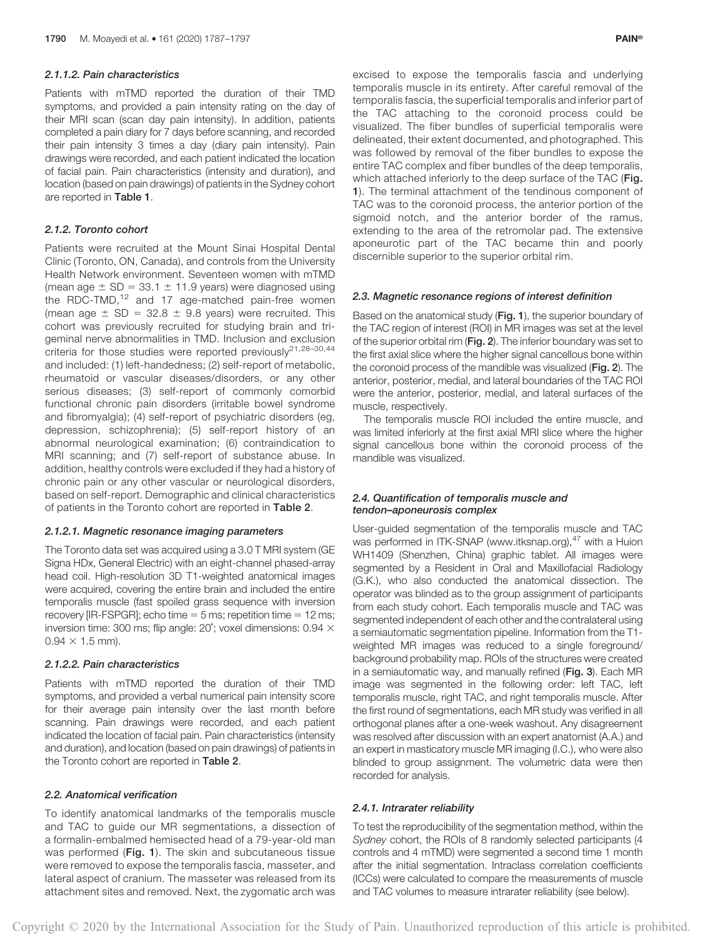#### 2.1.1.2. Pain characteristics

Patients with mTMD reported the duration of their TMD symptoms, and provided a pain intensity rating on the day of their MRI scan (scan day pain intensity). In addition, patients completed a pain diary for 7 days before scanning, and recorded their pain intensity 3 times a day (diary pain intensity). Pain drawings were recorded, and each patient indicated the location of facial pain. Pain characteristics (intensity and duration), and location (based on pain drawings) of patients in the Sydney cohort are reported in Table 1.

#### 2.1.2. Toronto cohort

Patients were recruited at the Mount Sinai Hospital Dental Clinic (Toronto, ON, Canada), and controls from the University Health Network environment. Seventeen women with mTMD (mean age  $\pm$  SD = 33.1  $\pm$  11.9 years) were diagnosed using the RDC-TMD,<sup>12</sup> and 17 age-matched pain-free women (mean age  $\pm$  SD = 32.8  $\pm$  9.8 years) were recruited. This cohort was previously recruited for studying brain and trigeminal nerve abnormalities in TMD. Inclusion and exclusion criteria for those studies were reported previously $2^{1,28-30,44}$ and included: (1) left-handedness; (2) self-report of metabolic, rheumatoid or vascular diseases/disorders, or any other serious diseases; (3) self-report of commonly comorbid functional chronic pain disorders (irritable bowel syndrome and fibromyalgia); (4) self-report of psychiatric disorders (eg, depression, schizophrenia); (5) self-report history of an abnormal neurological examination; (6) contraindication to MRI scanning; and (7) self-report of substance abuse. In addition, healthy controls were excluded if they had a history of chronic pain or any other vascular or neurological disorders, based on self-report. Demographic and clinical characteristics of patients in the Toronto cohort are reported in Table 2.

### 2.1.2.1. Magnetic resonance imaging parameters

The Toronto data set was acquired using a 3.0 T MRI system (GE Signa HDx, General Electric) with an eight-channel phased-array head coil. High-resolution 3D T1-weighted anatomical images were acquired, covering the entire brain and included the entire temporalis muscle (fast spoiled grass sequence with inversion recovery [IR-FSPGR]; echo time  $= 5$  ms; repetition time  $= 12$  ms; inversion time: 300 ms; flip angle:  $20^{\circ}$ ; voxel dimensions: 0.94  $\times$  $0.94 \times 1.5$  mm).

#### 2.1.2.2. Pain characteristics

Patients with mTMD reported the duration of their TMD symptoms, and provided a verbal numerical pain intensity score for their average pain intensity over the last month before scanning. Pain drawings were recorded, and each patient indicated the location of facial pain. Pain characteristics (intensity and duration), and location (based on pain drawings) of patients in the Toronto cohort are reported in Table 2.

### 2.2. Anatomical verification

To identify anatomical landmarks of the temporalis muscle and TAC to guide our MR segmentations, a dissection of a formalin-embalmed hemisected head of a 79-year-old man was performed (Fig. 1). The skin and subcutaneous tissue were removed to expose the temporalis fascia, masseter, and lateral aspect of cranium. The masseter was released from its attachment sites and removed. Next, the zygomatic arch was

excised to expose the temporalis fascia and underlying temporalis muscle in its entirety. After careful removal of the temporalis fascia, the superficial temporalis and inferior part of the TAC attaching to the coronoid process could be visualized. The fiber bundles of superficial temporalis were delineated, their extent documented, and photographed. This was followed by removal of the fiber bundles to expose the entire TAC complex and fiber bundles of the deep temporalis, which attached inferiorly to the deep surface of the TAC (Fig. 1). The terminal attachment of the tendinous component of TAC was to the coronoid process, the anterior portion of the sigmoid notch, and the anterior border of the ramus, extending to the area of the retromolar pad. The extensive aponeurotic part of the TAC became thin and poorly discernible superior to the superior orbital rim.

#### 2.3. Magnetic resonance regions of interest definition

Based on the anatomical study (Fig. 1), the superior boundary of the TAC region of interest (ROI) in MR images was set at the level of the superior orbital rim (Fig. 2). The inferior boundary was set to the first axial slice where the higher signal cancellous bone within the coronoid process of the mandible was visualized (Fig. 2). The anterior, posterior, medial, and lateral boundaries of the TAC ROI were the anterior, posterior, medial, and lateral surfaces of the muscle, respectively.

The temporalis muscle ROI included the entire muscle, and was limited inferiorly at the first axial MRI slice where the higher signal cancellous bone within the coronoid process of the mandible was visualized.

#### 2.4. Quantification of temporalis muscle and tendon–aponeurosis complex

User-guided segmentation of the temporalis muscle and TAC was performed in ITK-SNAP ([www.itksnap.org\)](http://www.itksnap.org),<sup>47</sup> with a Huion WH1409 (Shenzhen, China) graphic tablet. All images were segmented by a Resident in Oral and Maxillofacial Radiology (G.K.), who also conducted the anatomical dissection. The operator was blinded as to the group assignment of participants from each study cohort. Each temporalis muscle and TAC was segmented independent of each other and the contralateral using a semiautomatic segmentation pipeline. Information from the T1 weighted MR images was reduced to a single foreground/ background probability map. ROIs of the structures were created in a semiautomatic way, and manually refined (Fig. 3). Each MR image was segmented in the following order: left TAC, left temporalis muscle, right TAC, and right temporalis muscle. After the first round of segmentations, each MR study was verified in all orthogonal planes after a one-week washout. Any disagreement was resolved after discussion with an expert anatomist (A.A.) and an expert in masticatory muscle MR imaging (I.C.), who were also blinded to group assignment. The volumetric data were then recorded for analysis.

#### 2.4.1. Intrarater reliability

To test the reproducibility of the segmentation method, within the Sydney cohort, the ROIs of 8 randomly selected participants (4 controls and 4 mTMD) were segmented a second time 1 month after the initial segmentation. Intraclass correlation coefficients (ICCs) were calculated to compare the measurements of muscle and TAC volumes to measure intrarater reliability (see below).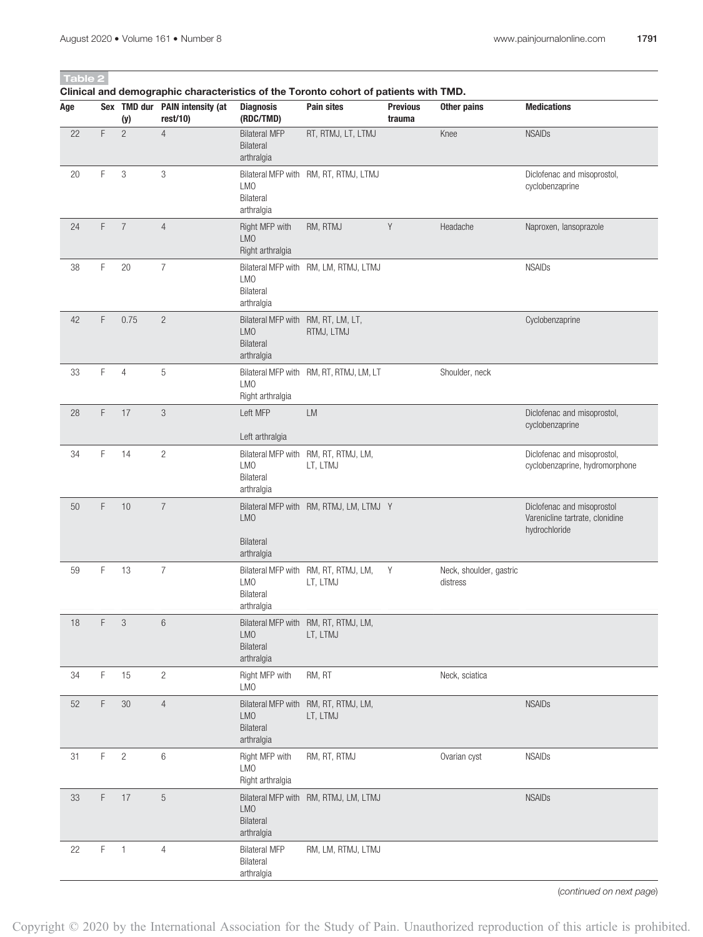# Table 2

Clinical and demographic characteristics of the Toronto cohort of patients with TMD.

| Age    |             | (y)            | Sex TMD dur PAIN intensity (at<br>rest/10) | <b>Diagnosis</b><br>(RDC/TMD)                                                      | <b>Pain sites</b>                                | <b>Previous</b><br>trauma | <b>Other pains</b>                  | <b>Medications</b>                                                             |
|--------|-------------|----------------|--------------------------------------------|------------------------------------------------------------------------------------|--------------------------------------------------|---------------------------|-------------------------------------|--------------------------------------------------------------------------------|
| 22     | F           | $\overline{c}$ | $\overline{4}$                             | <b>Bilateral MFP</b><br>Bilateral<br>arthralgia                                    | RT, RTMJ, LT, LTMJ                               |                           | Knee                                | <b>NSAIDs</b>                                                                  |
| 20     | F           | $\mathfrak{Z}$ | 3                                          | LMO<br>Bilateral<br>arthralgia                                                     | Bilateral MFP with RM, RT, RTMJ, LTMJ            |                           |                                     | Diclofenac and misoprostol,<br>cyclobenzaprine                                 |
| 24     | F           | $\overline{7}$ | $\overline{4}$                             | Right MFP with<br>LM <sub>0</sub><br>Right arthralgia                              | RM, RTMJ                                         | Y                         | Headache                            | Naproxen, lansoprazole                                                         |
| 38     | F           | 20             | $\overline{7}$                             | <b>LMO</b><br>Bilateral<br>arthralgia                                              | Bilateral MFP with RM, LM, RTMJ, LTMJ            |                           |                                     | <b>NSAIDs</b>                                                                  |
| 42     | F           | 0.75           | $\overline{c}$                             | Bilateral MFP with RM, RT, LM, LT,<br><b>LMO</b><br><b>Bilateral</b><br>arthralgia | RTMJ, LTMJ                                       |                           |                                     | Cyclobenzaprine                                                                |
| 33     | F           | $\overline{4}$ | 5                                          | LM <sub>0</sub><br>Right arthralgia                                                | Bilateral MFP with RM, RT, RTMJ, LM, LT          |                           | Shoulder, neck                      |                                                                                |
| 28     | F           | 17             | 3                                          | Left MFP<br>Left arthralgia                                                        | <b>LM</b>                                        |                           |                                     | Diclofenac and misoprostol,<br>cyclobenzaprine                                 |
| 34     | F           | 14             | $\overline{2}$                             | Bilateral MFP with<br>LMO<br>Bilateral<br>arthralgia                               | RM, RT, RTMJ, LM,<br>LT, LTMJ                    |                           |                                     | Diclofenac and misoprostol,<br>cyclobenzaprine, hydromorphone                  |
| 50     | F           | 10             | $\overline{7}$                             | <b>LMO</b><br><b>Bilateral</b><br>arthralgia                                       | Bilateral MFP with RM, RTMJ, LM, LTMJ Y          |                           |                                     | Diclofenac and misoprostol<br>Varenicline tartrate, clonidine<br>hydrochloride |
| 59     | F           | 13             | $\overline{7}$                             | LMO<br>Bilateral<br>arthralgia                                                     | Bilateral MFP with RM, RT, RTMJ, LM,<br>LT, LTMJ | Y                         | Neck, shoulder, gastric<br>distress |                                                                                |
| 18     | F           | 3              | 6                                          | LMO<br>Bilateral<br>arthralgia                                                     | Bilateral MFP with RM, RT, RTMJ, LM,<br>LT, LTMJ |                           |                                     |                                                                                |
| 34     | $\mathsf F$ | 15             | $\overline{c}$                             | Right MFP with<br><b>LMO</b>                                                       | RM, RT                                           |                           | Neck, sciatica                      |                                                                                |
| $52\,$ | F           | $30\,$         | $\overline{4}$                             | <b>LMO</b><br>Bilateral<br>arthralgia                                              | Bilateral MFP with RM, RT, RTMJ, LM,<br>LT, LTMJ |                           |                                     | <b>NSAIDs</b>                                                                  |
| 31     | F           | $\sqrt{2}$     | 6                                          | Right MFP with<br><b>LMO</b><br>Right arthralgia                                   | RM, RT, RTMJ                                     |                           | Ovarian cyst                        | <b>NSAIDs</b>                                                                  |
| 33     | F           | 17             | $\mathbf 5$                                | <b>LMO</b><br>Bilateral<br>arthralgia                                              | Bilateral MFP with RM, RTMJ, LM, LTMJ            |                           |                                     | <b>NSAIDs</b>                                                                  |
| 22     | F           | $\overline{1}$ | $\overline{4}$                             | <b>Bilateral MFP</b><br>Bilateral<br>arthralgia                                    | RM, LM, RTMJ, LTMJ                               |                           |                                     |                                                                                |

(continued on next page)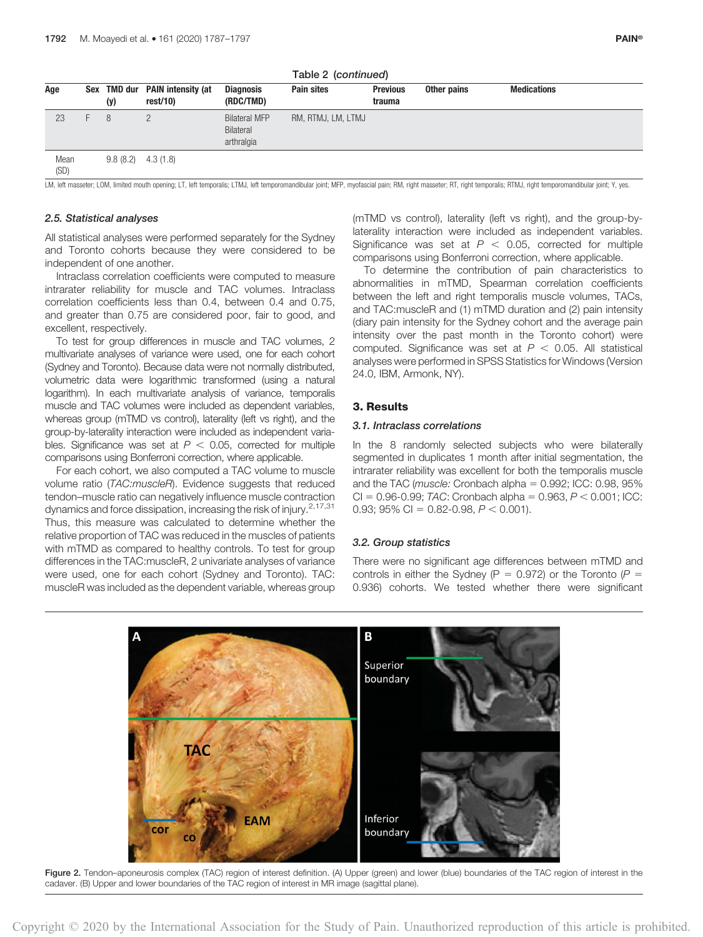|              | $18010 = 1001$ |     |                                           |                                                 |                    |                           |             |                    |  |  |
|--------------|----------------|-----|-------------------------------------------|-------------------------------------------------|--------------------|---------------------------|-------------|--------------------|--|--|
| Age          |                | (y) | Sex TMD dur PAIN intensity (at<br>rest/10 | <b>Diagnosis</b><br>(RDC/TMD)                   | <b>Pain sites</b>  | <b>Previous</b><br>trauma | Other pains | <b>Medications</b> |  |  |
| 23           |                | 8   |                                           | <b>Bilateral MFP</b><br>Bilateral<br>arthralgia | RM, RTMJ, LM, LTMJ |                           |             |                    |  |  |
| Mean<br>(SD) |                |     | $9.8(8.2)$ 4.3 (1.8)                      |                                                 |                    |                           |             |                    |  |  |

Table 2 (continued)

LM, left masseter; LOM, limited mouth opening; LT, left temporalis; LTMJ, left temporomandibular joint; MFP, myofascial pain; RM, right masseter; RT, right temporalis; RTMJ, right temporomandibular joint; Y, yes.

#### 2.5. Statistical analyses

All statistical analyses were performed separately for the Sydney and Toronto cohorts because they were considered to be independent of one another.

Intraclass correlation coefficients were computed to measure intrarater reliability for muscle and TAC volumes. Intraclass correlation coefficients less than 0.4, between 0.4 and 0.75, and greater than 0.75 are considered poor, fair to good, and excellent, respectively.

To test for group differences in muscle and TAC volumes, 2 multivariate analyses of variance were used, one for each cohort (Sydney and Toronto). Because data were not normally distributed, volumetric data were logarithmic transformed (using a natural logarithm). In each multivariate analysis of variance, temporalis muscle and TAC volumes were included as dependent variables, whereas group (mTMD vs control), laterality (left vs right), and the group-by-laterality interaction were included as independent variables. Significance was set at  $P < 0.05$ , corrected for multiple comparisons using Bonferroni correction, where applicable.

For each cohort, we also computed a TAC volume to muscle volume ratio (TAC:muscleR). Evidence suggests that reduced tendon–muscle ratio can negatively influence muscle contraction dynamics and force dissipation, increasing the risk of injury.<sup>2,17,31</sup> Thus, this measure was calculated to determine whether the relative proportion of TAC was reduced in the muscles of patients with mTMD as compared to healthy controls. To test for group differences in the TAC:muscleR, 2 univariate analyses of variance were used, one for each cohort (Sydney and Toronto). TAC: muscleR was included as the dependent variable, whereas group

(mTMD vs control), laterality (left vs right), and the group-bylaterality interaction were included as independent variables. Significance was set at  $P < 0.05$ , corrected for multiple comparisons using Bonferroni correction, where applicable.

To determine the contribution of pain characteristics to abnormalities in mTMD, Spearman correlation coefficients between the left and right temporalis muscle volumes, TACs, and TAC:muscleR and (1) mTMD duration and (2) pain intensity (diary pain intensity for the Sydney cohort and the average pain intensity over the past month in the Toronto cohort) were computed. Significance was set at  $P < 0.05$ . All statistical analyses were performed in SPSS Statistics for Windows (Version 24.0, IBM, Armonk, NY).

#### 3. Results

#### 3.1. Intraclass correlations

In the 8 randomly selected subjects who were bilaterally segmented in duplicates 1 month after initial segmentation, the intrarater reliability was excellent for both the temporalis muscle and the TAC (muscle: Cronbach alpha  $= 0.992$ ; ICC: 0.98, 95%  $CI = 0.96 - 0.99$ ; TAC: Cronbach alpha = 0.963,  $P < 0.001$ ; ICC; 0.93; 95% CI = 0.82-0.98,  $P < 0.001$ ).

#### 3.2. Group statistics

There were no significant age differences between mTMD and controls in either the Sydney (P = 0.972) or the Toronto (P = 0.936) cohorts. We tested whether there were significant



Figure 2. Tendon–aponeurosis complex (TAC) region of interest definition. (A) Upper (green) and lower (blue) boundaries of the TAC region of interest in the cadaver. (B) Upper and lower boundaries of the TAC region of interest in MR image (sagittal plane).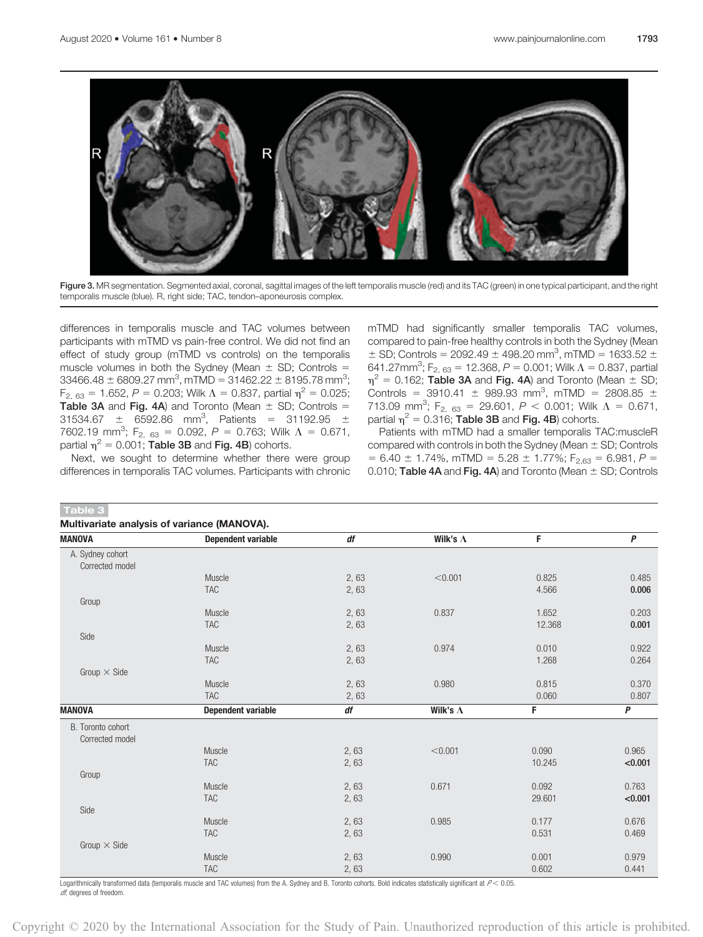

Figure 3. MR segmentation. Segmented axial, coronal, sagittal images of the left temporalis muscle (red) and its TAC (green) in one typical participant, and the right temporalis muscle (blue). R, right side; TAC, tendon–aponeurosis complex.

differences in temporalis muscle and TAC volumes between participants with mTMD vs pain-free control. We did not find an effect of study group (mTMD vs controls) on the temporalis muscle volumes in both the Sydney (Mean  $\pm$  SD; Controls =  $33466.48 \pm 6809.27$  mm<sup>3</sup>, mTMD =  $31462.22 \pm 8195.78$  mm<sup>3</sup>;  $F_{2, 63} = 1.652$ ,  $P = 0.203$ ; Wilk  $\Lambda = 0.837$ , partial  $\eta^2 = 0.025$ ; Table 3A and Fig. 4A) and Toronto (Mean  $\pm$  SD; Controls =  $31534.67 \pm 6592.86 \text{ mm}^3$ , Patients = 31192.95  $\pm$ 7602.19 mm<sup>3</sup>; F<sub>2, 63</sub> = 0.092, P = 0.763; Wilk  $\Lambda$  = 0.671, partial  $\eta^2$  = 0.001; Table 3B and Fig. 4B) cohorts.

Next, we sought to determine whether there were group differences in temporalis TAC volumes. Participants with chronic

mTMD had significantly smaller temporalis TAC volumes, compared to pain-free healthy controls in both the Sydney (Mean  $\pm$  SD; Controls = 2092.49  $\pm$  498.20 mm<sup>3</sup>, mTMD = 1633.52  $\pm$ 641.27mm<sup>3</sup>; F<sub>2, 63</sub> = 12.368, P = 0.001; Wilk  $\Lambda$  = 0.837, partial  $\eta^2$  = 0.162; **Table 3A** and Fig. 4A) and Toronto (Mean  $\pm$  SD; Controls =  $3910.41 \pm 989.93$  mm<sup>3</sup>, mTMD =  $2808.85 \pm 1$ 713.09 mm<sup>3</sup>; F<sub>2, 63</sub> = 29.601, P < 0.001; Wilk  $\Lambda$  = 0.671, partial  $\eta^2$  = 0.316; Table 3B and Fig. 4B) cohorts.

Patients with mTMD had a smaller temporalis TAC:muscleR compared with controls in both the Sydney (Mean  $\pm$  SD; Controls  $= 6.40 \pm 1.74\%$ , mTMD  $= 5.28 \pm 1.77\%$ ; F<sub>2.63</sub>  $= 6.981$ , P  $=$ 0.010; Table 4A and Fig. 4A) and Toronto (Mean  $\pm$  SD; Controls

| Table 3                                     |                           |      |                  |        |              |
|---------------------------------------------|---------------------------|------|------------------|--------|--------------|
| Multivariate analysis of variance (MANOVA). |                           |      |                  |        |              |
| <b>MANOVA</b>                               | <b>Dependent variable</b> | df   | Wilk's $\Lambda$ | F      | $\mathsf{P}$ |
| A. Sydney cohort<br>Corrected model         |                           |      |                  |        |              |
|                                             | Muscle                    | 2,63 | < 0.001          | 0.825  | 0.485        |
|                                             | <b>TAC</b>                | 2,63 |                  | 4.566  | 0.006        |
| Group                                       |                           |      |                  |        |              |
|                                             | Muscle                    | 2,63 | 0.837            | 1.652  | 0.203        |
|                                             | <b>TAC</b>                | 2,63 |                  | 12.368 | 0.001        |
| Side                                        |                           |      |                  |        |              |
|                                             | Muscle                    | 2,63 | 0.974            | 0.010  | 0.922        |
|                                             | <b>TAC</b>                | 2,63 |                  | 1.268  | 0.264        |
| Group $\times$ Side                         |                           |      |                  |        |              |
|                                             | Muscle                    | 2,63 | 0.980            | 0.815  | 0.370        |
|                                             | <b>TAC</b>                | 2,63 |                  | 0.060  | 0.807        |
| <b>MANOVA</b>                               | <b>Dependent variable</b> | df   | Wilk's $\Lambda$ | F      | $\mathsf{P}$ |
| B. Toronto cohort<br>Corrected model        |                           |      |                  |        |              |
|                                             | Muscle                    | 2,63 | < 0.001          | 0.090  | 0.965        |
|                                             | <b>TAC</b>                | 2,63 |                  | 10.245 | < 0.001      |
| Group                                       |                           |      |                  |        |              |
|                                             | Muscle                    | 2,63 | 0.671            | 0.092  | 0.763        |
|                                             | <b>TAC</b>                | 2,63 |                  | 29.601 | < 0.001      |
| Side                                        |                           |      |                  |        |              |
|                                             | Muscle                    | 2,63 | 0.985            | 0.177  | 0.676        |
|                                             | <b>TAC</b>                | 2,63 |                  | 0.531  | 0.469        |
| Group $\times$ Side                         |                           |      |                  |        |              |
|                                             | Muscle                    | 2,63 | 0.990            | 0.001  | 0.979        |
|                                             | <b>TAC</b>                | 2,63 |                  | 0.602  | 0.441        |

Logarithmically transformed data (temporalis muscle and TAC volumes) from the A. Sydney and B. Toronto cohorts. Bold indicates statistically significant at  $P < 0.05$ . df, degrees of freedom.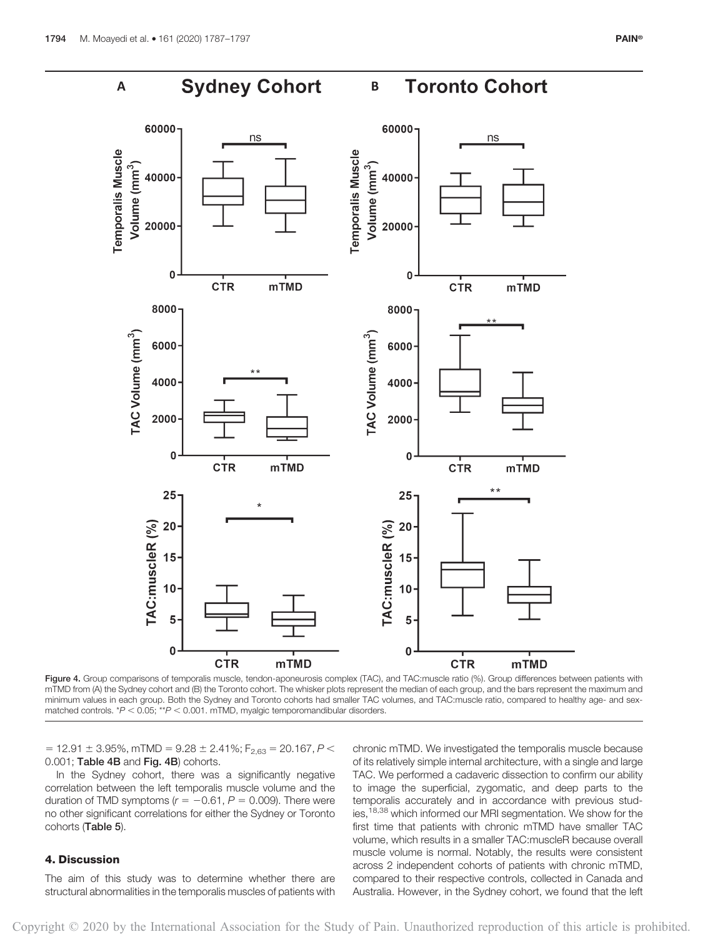

Figure 4. Group comparisons of temporalis muscle, tendon-aponeurosis complex (TAC), and TAC:muscle ratio (%). Group differences between patients with mTMD from (A) the Sydney cohort and (B) the Toronto cohort. The whisker plots represent the median of each group, and the bars represent the maximum and minimum values in each group. Both the Sydney and Toronto cohorts had smaller TAC volumes, and TAC:muscle ratio, compared to healthy age- and sex $m$  matched controls.  $*P < 0.05$ ;  $*P < 0.001$ . mTMD, myalgic temporomandibular disorders.

 $= 12.91 \pm 3.95\%$ , mTMD =  $9.28 \pm 2.41\%$ ; F<sub>2.63</sub> = 20.167, P < 0.001; Table 4B and Fig. 4B) cohorts.

In the Sydney cohort, there was a significantly negative correlation between the left temporalis muscle volume and the duration of TMD symptoms ( $r = -0.61$ ,  $P = 0.009$ ). There were no other significant correlations for either the Sydney or Toronto cohorts (Table 5).

#### 4. Discussion

The aim of this study was to determine whether there are structural abnormalities in the temporalis muscles of patients with chronic mTMD. We investigated the temporalis muscle because of its relatively simple internal architecture, with a single and large TAC. We performed a cadaveric dissection to confirm our ability to image the superficial, zygomatic, and deep parts to the temporalis accurately and in accordance with previous studies,<sup>18,38</sup> which informed our MRI segmentation. We show for the first time that patients with chronic mTMD have smaller TAC volume, which results in a smaller TAC:muscleR because overall muscle volume is normal. Notably, the results were consistent across 2 independent cohorts of patients with chronic mTMD, compared to their respective controls, collected in Canada and Australia. However, in the Sydney cohort, we found that the left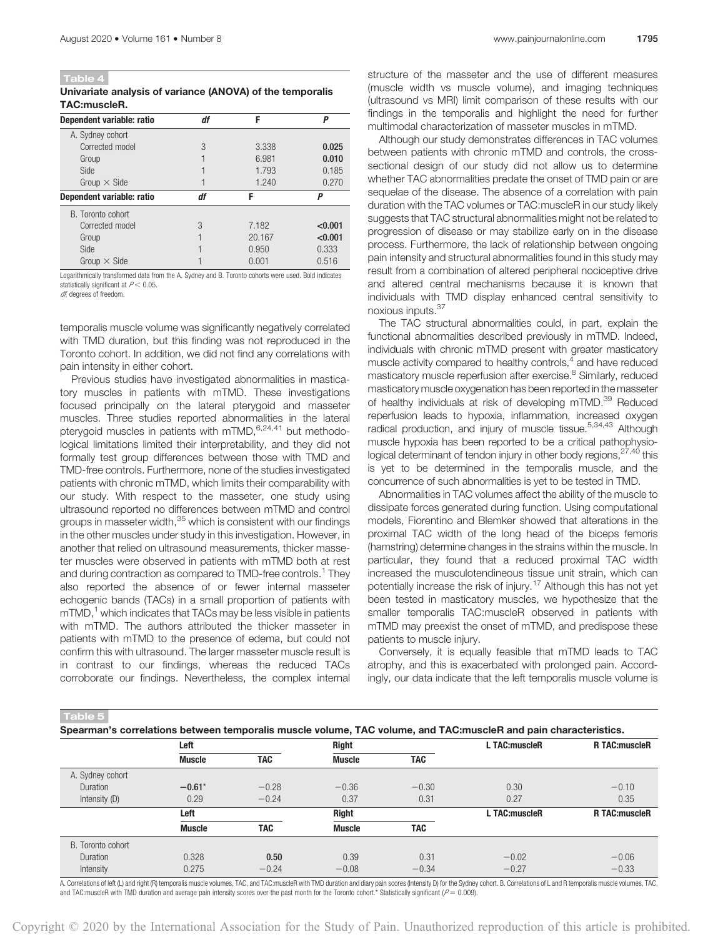Table 4

Univariate analysis of variance (ANOVA) of the temporalis TAC:muscleR.

| Dependent variable: ratio | df | F      | P       |
|---------------------------|----|--------|---------|
| A. Sydney cohort          |    |        |         |
| Corrected model           | 3  | 3.338  | 0.025   |
| Group                     |    | 6.981  | 0.010   |
| Side                      |    | 1.793  | 0.185   |
| Group $\times$ Side       |    | 1.240  | 0.270   |
| Dependent variable: ratio | df | F      | Р       |
| B. Toronto cohort         |    |        |         |
| Corrected model           | 3  | 7.182  | < 0.001 |
| Group                     |    | 20.167 | < 0.001 |
| Side                      |    | 0.950  | 0.333   |
| Group $\times$ Side       |    | 0.001  | 0.516   |

Logarithmically transformed data from the A. Sydney and B. Toronto cohorts were used. Bold indicates statistically significant at  $P < 0.05$ .

df, degrees of freedom.

temporalis muscle volume was significantly negatively correlated with TMD duration, but this finding was not reproduced in the Toronto cohort. In addition, we did not find any correlations with pain intensity in either cohort.

Previous studies have investigated abnormalities in masticatory muscles in patients with mTMD. These investigations focused principally on the lateral pterygoid and masseter muscles. Three studies reported abnormalities in the lateral pterygoid muscles in patients with mTMD, 6,24,41 but methodological limitations limited their interpretability, and they did not formally test group differences between those with TMD and TMD-free controls. Furthermore, none of the studies investigated patients with chronic mTMD, which limits their comparability with our study. With respect to the masseter, one study using ultrasound reported no differences between mTMD and control groups in masseter width,<sup>35</sup> which is consistent with our findings in the other muscles under study in this investigation. However, in another that relied on ultrasound measurements, thicker masseter muscles were observed in patients with mTMD both at rest and during contraction as compared to TMD-free controls.<sup>1</sup> They also reported the absence of or fewer internal masseter echogenic bands (TACs) in a small proportion of patients with  $mTMD<sub>1</sub><sup>1</sup>$  which indicates that TACs may be less visible in patients with mTMD. The authors attributed the thicker masseter in patients with mTMD to the presence of edema, but could not confirm this with ultrasound. The larger masseter muscle result is in contrast to our findings, whereas the reduced TACs corroborate our findings. Nevertheless, the complex internal structure of the masseter and the use of different measures (muscle width vs muscle volume), and imaging techniques (ultrasound vs MRI) limit comparison of these results with our findings in the temporalis and highlight the need for further multimodal characterization of masseter muscles in mTMD.

Although our study demonstrates differences in TAC volumes between patients with chronic mTMD and controls, the crosssectional design of our study did not allow us to determine whether TAC abnormalities predate the onset of TMD pain or are sequelae of the disease. The absence of a correlation with pain duration with the TAC volumes or TAC:muscleR in our study likely suggests that TAC structural abnormalities might not be related to progression of disease or may stabilize early on in the disease process. Furthermore, the lack of relationship between ongoing pain intensity and structural abnormalities found in this study may result from a combination of altered peripheral nociceptive drive and altered central mechanisms because it is known that individuals with TMD display enhanced central sensitivity to noxious inputs.37

The TAC structural abnormalities could, in part, explain the functional abnormalities described previously in mTMD. Indeed, individuals with chronic mTMD present with greater masticatory muscle activity compared to healthy controls, $4$  and have reduced masticatory muscle reperfusion after exercise.<sup>8</sup> Similarly, reduced masticatory muscle oxygenation has been reported in the masseter of healthy individuals at risk of developing mTMD.<sup>39</sup> Reduced reperfusion leads to hypoxia, inflammation, increased oxygen radical production, and injury of muscle tissue.<sup>5,34,43</sup> Although muscle hypoxia has been reported to be a critical pathophysiological determinant of tendon injury in other body regions, <sup>27,40</sup> this is yet to be determined in the temporalis muscle, and the concurrence of such abnormalities is yet to be tested in TMD.

Abnormalities in TAC volumes affect the ability of the muscle to dissipate forces generated during function. Using computational models, Fiorentino and Blemker showed that alterations in the proximal TAC width of the long head of the biceps femoris (hamstring) determine changes in the strains within the muscle. In particular, they found that a reduced proximal TAC width increased the musculotendineous tissue unit strain, which can potentially increase the risk of injury.<sup>17</sup> Although this has not yet been tested in masticatory muscles, we hypothesize that the smaller temporalis TAC:muscleR observed in patients with mTMD may preexist the onset of mTMD, and predispose these patients to muscle injury.

Conversely, it is equally feasible that mTMD leads to TAC atrophy, and this is exacerbated with prolonged pain. Accordingly, our data indicate that the left temporalis muscle volume is

Spearman's correlations between temporalis muscle volume, TAC volume, and TAC:muscleR and pain characteristics.

|                   | Left          |            | <b>Right</b>  |            | L TAC:muscleR | <b>R TAC:muscleR</b> |  |
|-------------------|---------------|------------|---------------|------------|---------------|----------------------|--|
|                   | <b>Muscle</b> | TAC        | <b>Muscle</b> | <b>TAC</b> |               |                      |  |
| A. Sydney cohort  |               |            |               |            |               |                      |  |
| Duration          | $-0.61*$      | $-0.28$    | $-0.36$       | $-0.30$    | 0.30          | $-0.10$              |  |
| Intensity (D)     | 0.29          | $-0.24$    | 0.37          | 0.31       | 0.27          | 0.35                 |  |
|                   | Left          |            | <b>Right</b>  |            | L TAC:muscleR | <b>R TAC:muscleR</b> |  |
|                   | <b>Muscle</b> | <b>TAC</b> | <b>Muscle</b> | <b>TAC</b> |               |                      |  |
| B. Toronto cohort |               |            |               |            |               |                      |  |
| Duration          | 0.328         | 0.50       | 0.39          | 0.31       | $-0.02$       | $-0.06$              |  |
| Intensity         | 0.275         | $-0.24$    | $-0.08$       | $-0.34$    | $-0.27$       | $-0.33$              |  |

A. Correlations of left (L) and right (R) temporalis muscle volumes, TAC, and TAC:muscleR with TMD duration and diary pain scores (Intensity D) for the Sydney cohort. B. Correlations of L and R temporalis muscle volumes, T and TAC:muscleR with TMD duration and average pain intensity scores over the past month for the Toronto cohort.\* Statistically significant ( $P = 0.009$ )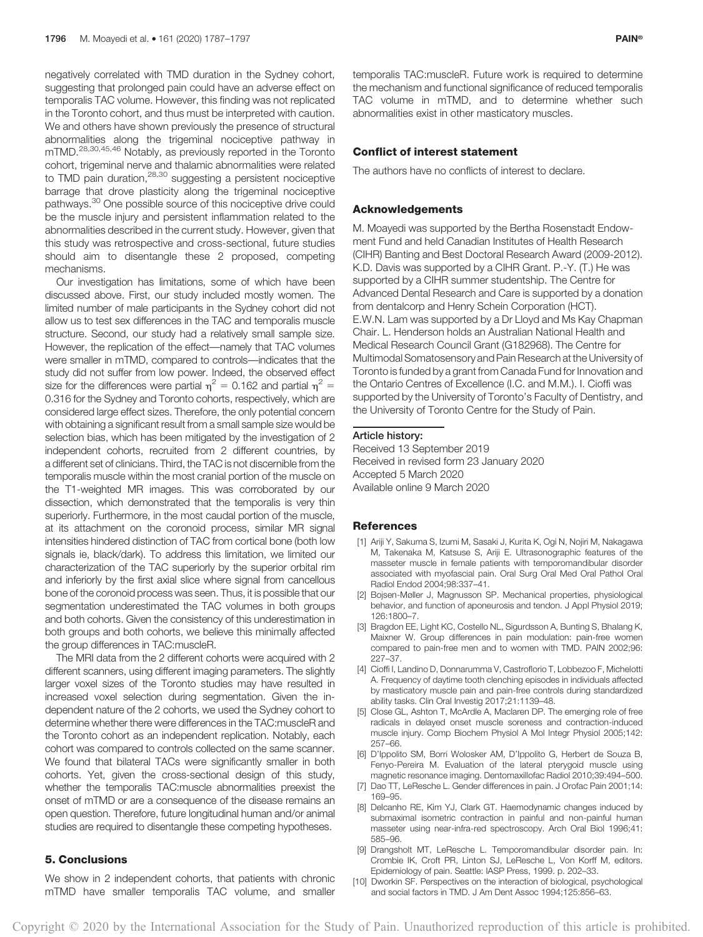negatively correlated with TMD duration in the Sydney cohort, suggesting that prolonged pain could have an adverse effect on temporalis TAC volume. However, this finding was not replicated in the Toronto cohort, and thus must be interpreted with caution. We and others have shown previously the presence of structural abnormalities along the trigeminal nociceptive pathway in mTMD.28,30,45,46 Notably, as previously reported in the Toronto cohort, trigeminal nerve and thalamic abnormalities were related to TMD pain duration, <sup>28,30</sup> suggesting a persistent nociceptive barrage that drove plasticity along the trigeminal nociceptive pathways.<sup>30</sup> One possible source of this nociceptive drive could be the muscle injury and persistent inflammation related to the abnormalities described in the current study. However, given that this study was retrospective and cross-sectional, future studies should aim to disentangle these 2 proposed, competing mechanisms.

Our investigation has limitations, some of which have been discussed above. First, our study included mostly women. The limited number of male participants in the Sydney cohort did not allow us to test sex differences in the TAC and temporalis muscle structure. Second, our study had a relatively small sample size. However, the replication of the effect—namely that TAC volumes were smaller in mTMD, compared to controls—indicates that the study did not suffer from low power. Indeed, the observed effect size for the differences were partial  $\eta^2 = 0.162$  and partial  $\eta^2 =$ 0.316 for the Sydney and Toronto cohorts, respectively, which are considered large effect sizes. Therefore, the only potential concern with obtaining a significant result from a small sample size would be selection bias, which has been mitigated by the investigation of 2 independent cohorts, recruited from 2 different countries, by a different set of clinicians. Third, the TAC is not discernible from the temporalis muscle within the most cranial portion of the muscle on the T1-weighted MR images. This was corroborated by our dissection, which demonstrated that the temporalis is very thin superiorly. Furthermore, in the most caudal portion of the muscle, at its attachment on the coronoid process, similar MR signal intensities hindered distinction of TAC from cortical bone (both low signals ie, black/dark). To address this limitation, we limited our characterization of the TAC superiorly by the superior orbital rim and inferiorly by the first axial slice where signal from cancellous bone of the coronoid process was seen. Thus, it is possible that our segmentation underestimated the TAC volumes in both groups and both cohorts. Given the consistency of this underestimation in both groups and both cohorts, we believe this minimally affected the group differences in TAC:muscleR.

The MRI data from the 2 different cohorts were acquired with 2 different scanners, using different imaging parameters. The slightly larger voxel sizes of the Toronto studies may have resulted in increased voxel selection during segmentation. Given the independent nature of the 2 cohorts, we used the Sydney cohort to determine whether there were differences in the TAC:muscleR and the Toronto cohort as an independent replication. Notably, each cohort was compared to controls collected on the same scanner. We found that bilateral TACs were significantly smaller in both cohorts. Yet, given the cross-sectional design of this study, whether the temporalis TAC:muscle abnormalities preexist the onset of mTMD or are a consequence of the disease remains an open question. Therefore, future longitudinal human and/or animal studies are required to disentangle these competing hypotheses.

#### 5. Conclusions

We show in 2 independent cohorts, that patients with chronic mTMD have smaller temporalis TAC volume, and smaller temporalis TAC:muscleR. Future work is required to determine the mechanism and functional significance of reduced temporalis TAC volume in mTMD, and to determine whether such abnormalities exist in other masticatory muscles.

#### Conflict of interest statement

The authors have no conflicts of interest to declare.

#### Acknowledgements

M. Moayedi was supported by the Bertha Rosenstadt Endowment Fund and held Canadian Institutes of Health Research (CIHR) Banting and Best Doctoral Research Award (2009-2012). K.D. Davis was supported by a CIHR Grant. P.-Y. (T.) He was supported by a CIHR summer studentship. The Centre for Advanced Dental Research and Care is supported by a donation from dentalcorp and Henry Schein Corporation (HCT). E.W.N. Lam was supported by a Dr Lloyd and Ms Kay Chapman Chair. L. Henderson holds an Australian National Health and Medical Research Council Grant (G182968). The Centre for Multimodal Somatosensory and Pain Research at the University of Toronto is funded by a grant from Canada Fund for Innovation and the Ontario Centres of Excellence (I.C. and M.M.). I. Cioffi was supported by the University of Toronto's Faculty of Dentistry, and the University of Toronto Centre for the Study of Pain.

Received 13 September 2019 Received in revised form 23 January 2020 Accepted 5 March 2020 Available online 9 March 2020

#### **References**

- [1] Ariji Y, Sakuma S, Izumi M, Sasaki J, Kurita K, Ogi N, Nojiri M, Nakagawa M, Takenaka M, Katsuse S, Ariji E. Ultrasonographic features of the masseter muscle in female patients with temporomandibular disorder associated with myofascial pain. Oral Surg Oral Med Oral Pathol Oral Radiol Endod 2004;98:337–41.
- [2] Bojsen-Møller J, Magnusson SP. Mechanical properties, physiological behavior, and function of aponeurosis and tendon. J Appl Physiol 2019; 126:1800–7.
- [3] Bragdon EE, Light KC, Costello NL, Sigurdsson A, Bunting S, Bhalang K, Maixner W. Group differences in pain modulation: pain-free women compared to pain-free men and to women with TMD. PAIN 2002;96: 227–37.
- [4] Cioffi I, Landino D, Donnarumma V, Castroflorio T, Lobbezoo F, Michelotti A. Frequency of daytime tooth clenching episodes in individuals affected by masticatory muscle pain and pain-free controls during standardized ability tasks. Clin Oral Investig 2017;21:1139–48.
- [5] Close GL, Ashton T, McArdle A, Maclaren DP. The emerging role of free radicals in delayed onset muscle soreness and contraction-induced muscle injury. Comp Biochem Physiol A Mol Integr Physiol 2005;142: 257–66.
- [6] D'Ippolito SM, Borri Wolosker AM, D'Ippolito G, Herbert de Souza B, Fenyo-Pereira M. Evaluation of the lateral pterygoid muscle using magnetic resonance imaging. Dentomaxillofac Radiol 2010;39:494–500.
- [7] Dao TT, LeResche L. Gender differences in pain. J Orofac Pain 2001;14: 169–95.
- [8] Delcanho RE, Kim YJ, Clark GT. Haemodynamic changes induced by submaximal isometric contraction in painful and non-painful human masseter using near-infra-red spectroscopy. Arch Oral Biol 1996;41: 585–96.
- [9] Drangsholt MT, LeResche L. Temporomandibular disorder pain. In: Crombie IK, Croft PR, Linton SJ, LeResche L, Von Korff M, editors. Epidemiology of pain. Seattle: IASP Press, 1999. p. 202–33.
- [10] Dworkin SF. Perspectives on the interaction of biological, psychological and social factors in TMD. J Am Dent Assoc 1994;125:856–63.